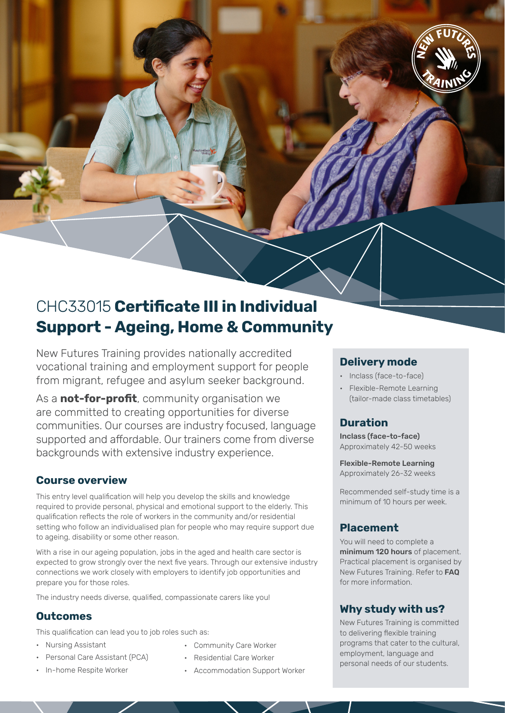

# CHC33015 **Certificate III in Individual Support - Ageing, Home & Community**

New Futures Training provides nationally accredited vocational training and employment support for people from migrant, refugee and asylum seeker background.

As a **not-for-profit**, community organisation we are committed to creating opportunities for diverse communities. Our courses are industry focused, language supported and affordable. Our trainers come from diverse backgrounds with extensive industry experience.

### **Course overview**

This entry level qualification will help you develop the skills and knowledge required to provide personal, physical and emotional support to the elderly. This qualification reflects the role of workers in the community and/or residential setting who follow an individualised plan for people who may require support due to ageing, disability or some other reason.

With a rise in our ageing population, jobs in the aged and health care sector is expected to grow strongly over the next five years. Through our extensive industry connections we work closely with employers to identify job opportunities and prepare you for those roles.

The industry needs diverse, qualified, compassionate carers like you!

### **Outcomes**

This qualification can lead you to job roles such as:

- Nursing Assistant
- Personal Care Assistant (PCA)
- In-home Respite Worker
- Community Care Worker
- Residential Care Worker
- Accommodation Support Worker

### **Delivery mode**

- Inclass (face-to-face)
- Flexible-Remote Learning (tailor-made class timetables)

## **Duration**

Inclass (face-to-face) Approximately 42-50 weeks

Flexible-Remote Learning Approximately 26-32 weeks

Recommended self-study time is a minimum of 10 hours per week.

### **Placement**

You will need to complete a minimum 120 hours of placement. Practical placement is organised by New Futures Training. Refer to FAQ for more information.

### **Why study with us?**

New Futures Training is committed to delivering flexible training programs that cater to the cultural, employment, language and personal needs of our students.